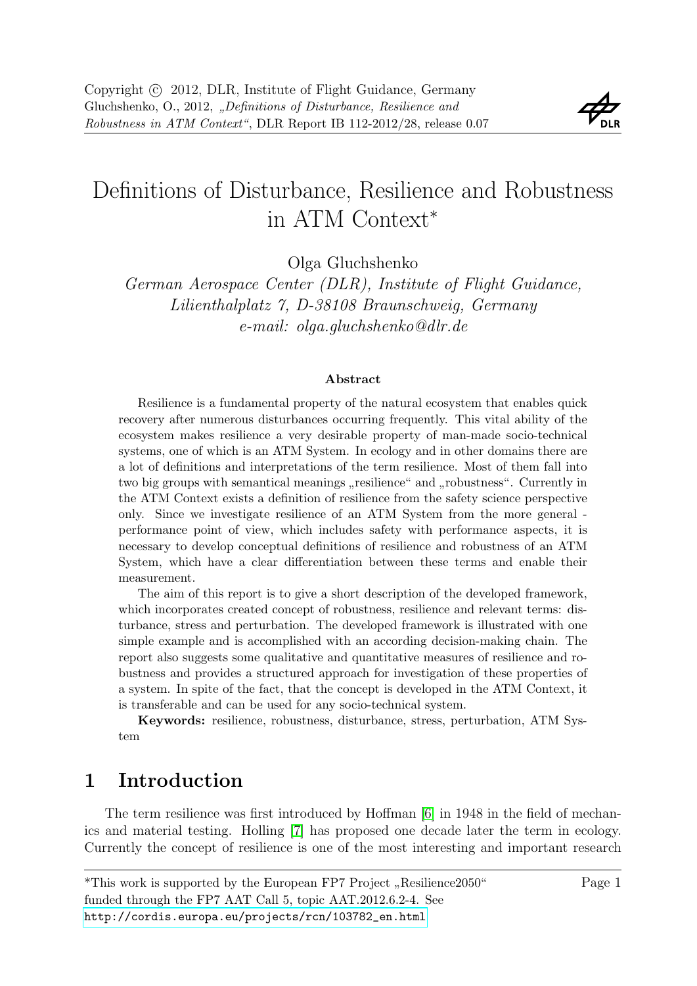

# Definitions of Disturbance, Resilience and Robustness in ATM Context<sup>∗</sup>

Olga Gluchshenko

German Aerospace Center (DLR), Institute of Flight Guidance, Lilienthalplatz 7, D-38108 Braunschweig, Germany e-mail: olga.gluchshenko@dlr.de

#### Abstract

Resilience is a fundamental property of the natural ecosystem that enables quick recovery after numerous disturbances occurring frequently. This vital ability of the ecosystem makes resilience a very desirable property of man-made socio-technical systems, one of which is an ATM System. In ecology and in other domains there are a lot of definitions and interpretations of the term resilience. Most of them fall into two big groups with semantical meanings "resilience" and "robustness". Currently in the ATM Context exists a definition of resilience from the safety science perspective only. Since we investigate resilience of an ATM System from the more general performance point of view, which includes safety with performance aspects, it is necessary to develop conceptual definitions of resilience and robustness of an ATM System, which have a clear differentiation between these terms and enable their measurement.

The aim of this report is to give a short description of the developed framework, which incorporates created concept of robustness, resilience and relevant terms: disturbance, stress and perturbation. The developed framework is illustrated with one simple example and is accomplished with an according decision-making chain. The report also suggests some qualitative and quantitative measures of resilience and robustness and provides a structured approach for investigation of these properties of a system. In spite of the fact, that the concept is developed in the ATM Context, it is transferable and can be used for any socio-technical system.

Keywords: resilience, robustness, disturbance, stress, perturbation, ATM System

## 1 Introduction

The term resilience was first introduced by Hoffman [\[6\]](#page-11-0) in 1948 in the field of mechanics and material testing. Holling [\[7\]](#page-11-1) has proposed one decade later the term in ecology. Currently the concept of resilience is one of the most interesting and important research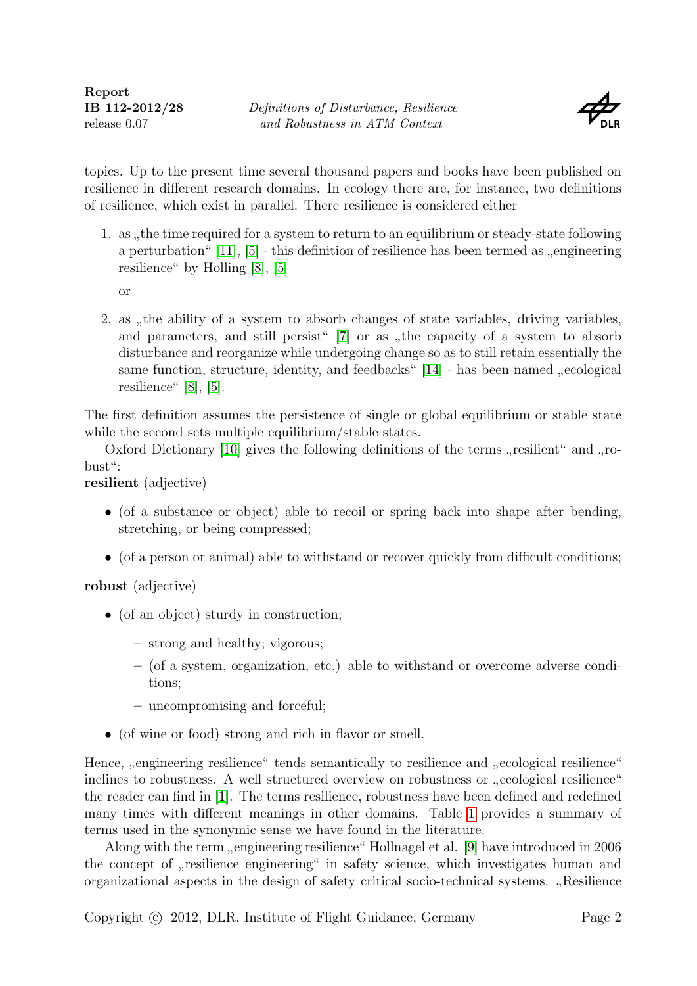

topics. Up to the present time several thousand papers and books have been published on resilience in different research domains. In ecology there are, for instance, two definitions of resilience, which exist in parallel. There resilience is considered either

1. as , the time required for a system to return to an equilibrium or steady-state following<br>the system is following the definition of positions have here terms decompositions in a space a perturbation"  $[11]$ ,  $[5]$  - this definition of resilience has been termed as "engineering<br>resilience" by Helling  $[9]$   $[5]$ resilience" by Holling [\[8\]](#page-11-4), [\[5\]](#page-11-3)

or

2. as , the ability of a system to absorb changes of state variables, driving variables, and parameters, and still persist"  $[7]$  or as "the capacity of a system to absorb disturbance and reorganize while undergoing change so as to still retain essentially the same function, structure, identity, and feedbacks"  $[14]$  - has been named "ecological<br>resilience"  $[8]$ resilience" [\[8\]](#page-11-4), [\[5\]](#page-11-3).

The first definition assumes the persistence of single or global equilibrium or stable state while the second sets multiple equilibrium/stable states.

Oxford Dictionary [\[10\]](#page-11-6) gives the following definitions of the terms "resilient" and "robust":

resilient (adjective)

- (of a substance or object) able to recoil or spring back into shape after bending, stretching, or being compressed;
- (of a person or animal) able to withstand or recover quickly from difficult conditions;

robust (adjective)

- (of an object) sturdy in construction;
	- strong and healthy; vigorous;
	- (of a system, organization, etc.) able to withstand or overcome adverse conditions;
	- uncompromising and forceful;
- (of wine or food) strong and rich in flavor or smell.

Hence, "engineering resilience" tends semantically to resilience and "ecological resilience"<br>inclines to relatives a A reall structured economics or relatives are esclarized resilience inclines to robustness. A well structured overview on robustness or "ecological resilience" the reader can find in [\[1\]](#page-11-7). The terms resilience, robustness have been defined and redefined many times with different meanings in other domains. Table [1](#page-2-0) provides a summary of terms used in the synonymic sense we have found in the literature.

Along with the term "engineering resilience" Hollnagel et al. [\[9\]](#page-11-8) have introduced in 2006 the concept of "resilience engineering" in safety science, which investigates human and organizational aspects in the design of safety critical socio-technical systems. " Resilience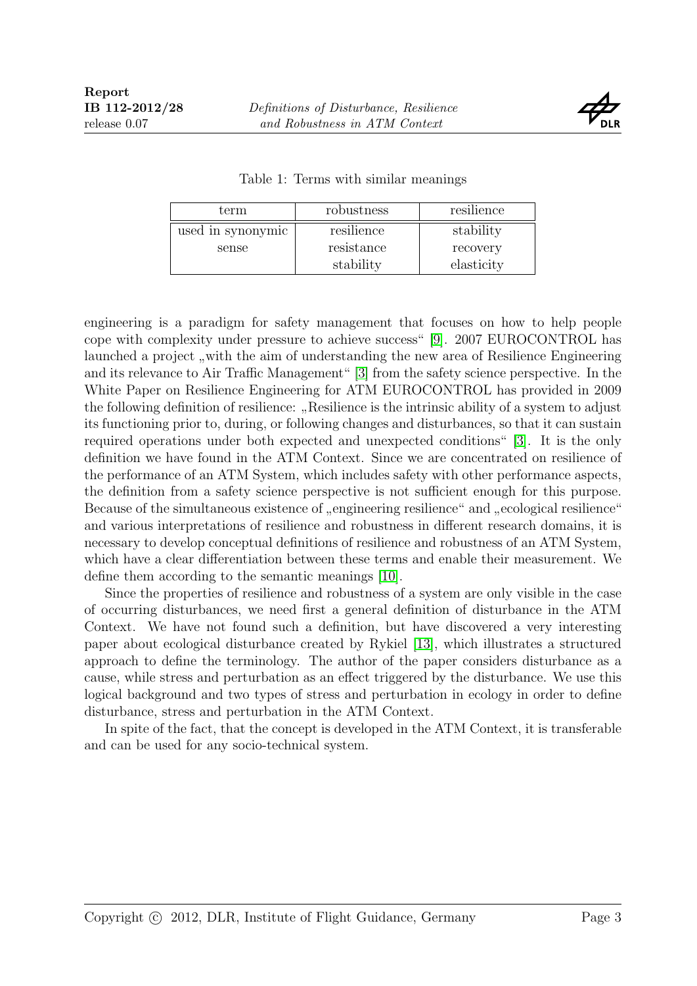

|  |  |  |  | Table 1: Terms with similar meanings |
|--|--|--|--|--------------------------------------|
|--|--|--|--|--------------------------------------|

<span id="page-2-0"></span>

| term              | robustness | resilience |
|-------------------|------------|------------|
| used in synonymic | resilience | stability  |
| sense             | resistance | recovery   |
|                   | stability  | elasticity |

engineering is a paradigm for safety management that focuses on how to help people cope with complexity under pressure to achieve success" [\[9\]](#page-11-8). 2007 EUROCONTROL has launched a project "with the aim of understanding the new area of Resilience Engineering<br>and its relaxance to Air Traffic Management. [2] from the safety science parametive. In the and its relevance to Air Traffic Management" [\[3\]](#page-11-9) from the safety science perspective. In the White Paper on Resilience Engineering for ATM EUROCONTROL has provided in 2009 the following definition of resilience: "Resilience is the intrinsic ability of a system to adjust<br>its functioning negate the during on following shapes are delighted appear as that it are gustain its functioning prior to, during, or following changes and disturbances, so that it can sustain required operations under both expected and unexpected conditions" [\[3\]](#page-11-9). It is the only definition we have found in the ATM Context. Since we are concentrated on resilience of the performance of an ATM System, which includes safety with other performance aspects, the definition from a safety science perspective is not sufficient enough for this purpose. Because of the simultaneous existence of "engineering resilience" and "ecological resilience" and various interpretations of resilience and robustness in different research domains, it is necessary to develop conceptual definitions of resilience and robustness of an ATM System, which have a clear differentiation between these terms and enable their measurement. We define them according to the semantic meanings [\[10\]](#page-11-6).

Since the properties of resilience and robustness of a system are only visible in the case of occurring disturbances, we need first a general definition of disturbance in the ATM Context. We have not found such a definition, but have discovered a very interesting paper about ecological disturbance created by Rykiel [\[13\]](#page-11-10), which illustrates a structured approach to define the terminology. The author of the paper considers disturbance as a cause, while stress and perturbation as an effect triggered by the disturbance. We use this logical background and two types of stress and perturbation in ecology in order to define disturbance, stress and perturbation in the ATM Context.

In spite of the fact, that the concept is developed in the ATM Context, it is transferable and can be used for any socio-technical system.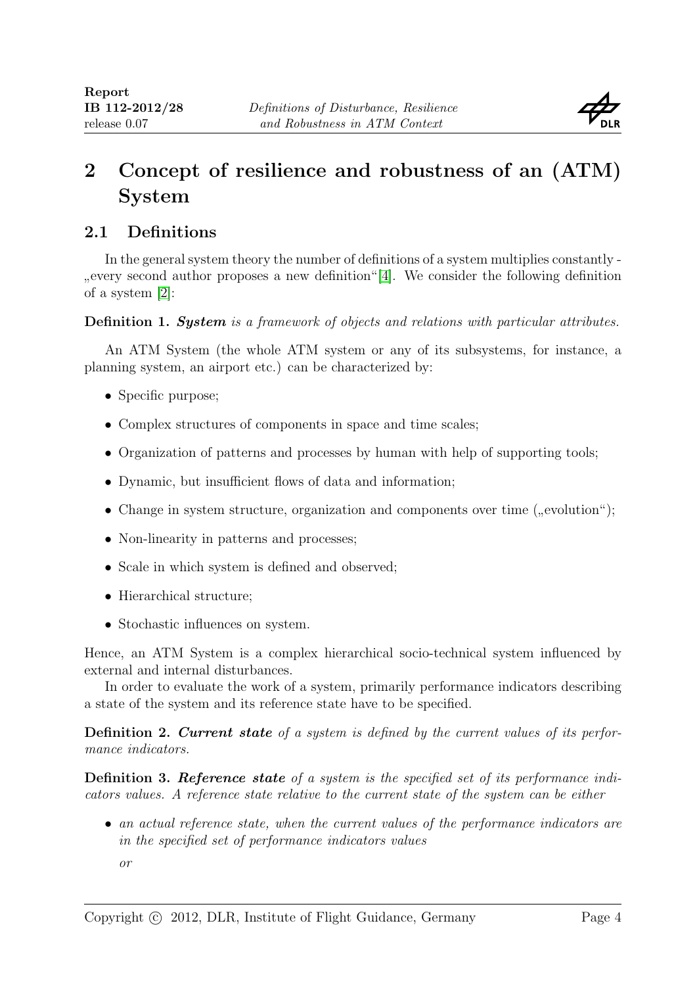

# 2 Concept of resilience and robustness of an (ATM) System

### <span id="page-3-0"></span>2.1 Definitions

In the general system theory the number of definitions of a system multiplies constantly - <sub>of a system</sub> [\[2\]](#page-11-12): every second author proposes a new definition"[\[4\]](#page-11-11). We consider the following definition

Definition 1. System is a framework of objects and relations with particular attributes.

An ATM System (the whole ATM system or any of its subsystems, for instance, a planning system, an airport etc.) can be characterized by:

- Specific purpose;
- Complex structures of components in space and time scales;
- Organization of patterns and processes by human with help of supporting tools;
- Dynamic, but insufficient flows of data and information;
- Change in system structure, organization and components over time  $($ <sub>"</sub>, evolution" $)$ ;
- Non-linearity in patterns and processes;
- Scale in which system is defined and observed;
- Hierarchical structure;
- Stochastic influences on system.

Hence, an ATM System is a complex hierarchical socio-technical system influenced by external and internal disturbances.

In order to evaluate the work of a system, primarily performance indicators describing a state of the system and its reference state have to be specified.

Definition 2. Current state of a system is defined by the current values of its performance indicators.

Definition 3. Reference state of a system is the specified set of its performance indicators values. A reference state relative to the current state of the system can be either

- an actual reference state, when the current values of the performance indicators are in the specified set of performance indicators values
	- or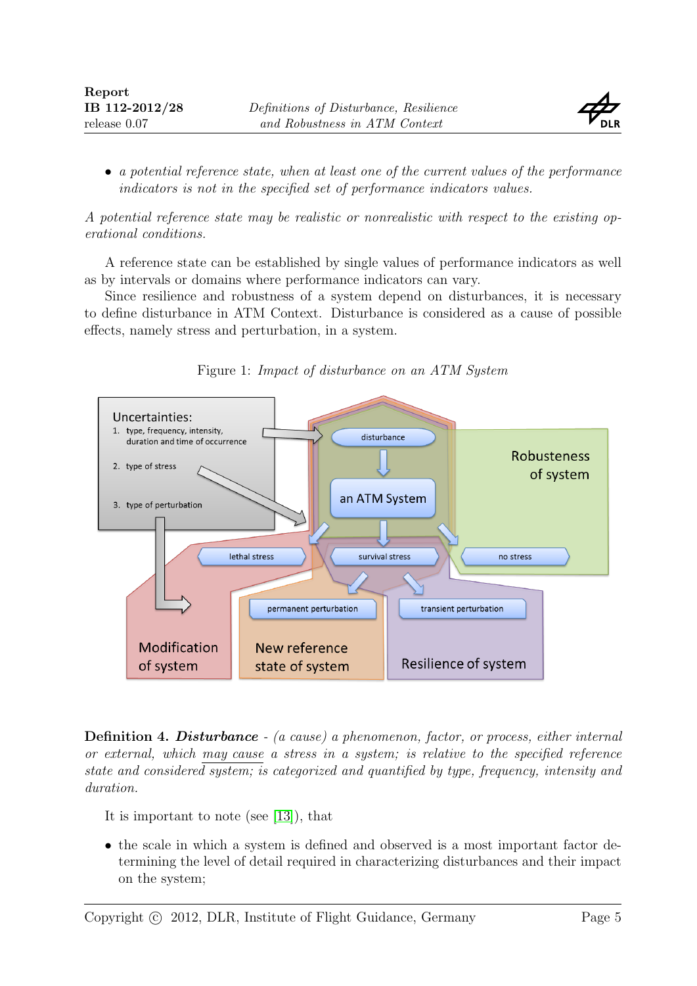

• a potential reference state, when at least one of the current values of the performance indicators is not in the specified set of performance indicators values.

A potential reference state may be realistic or nonrealistic with respect to the existing operational conditions.

A reference state can be established by single values of performance indicators as well as by intervals or domains where performance indicators can vary.

Since resilience and robustness of a system depend on disturbances, it is necessary to define disturbance in ATM Context. Disturbance is considered as a cause of possible effects, namely stress and perturbation, in a system.

<span id="page-4-0"></span>



Definition 4. Disturbance - (a cause) a phenomenon, factor, or process, either internal or external, which may cause a stress in a system; is relative to the specified reference state and considered system; is categorized and quantified by type, frequency, intensity and duration.

It is important to note (see [\[13\]](#page-11-10)), that

• the scale in which a system is defined and observed is a most important factor determining the level of detail required in characterizing disturbances and their impact on the system;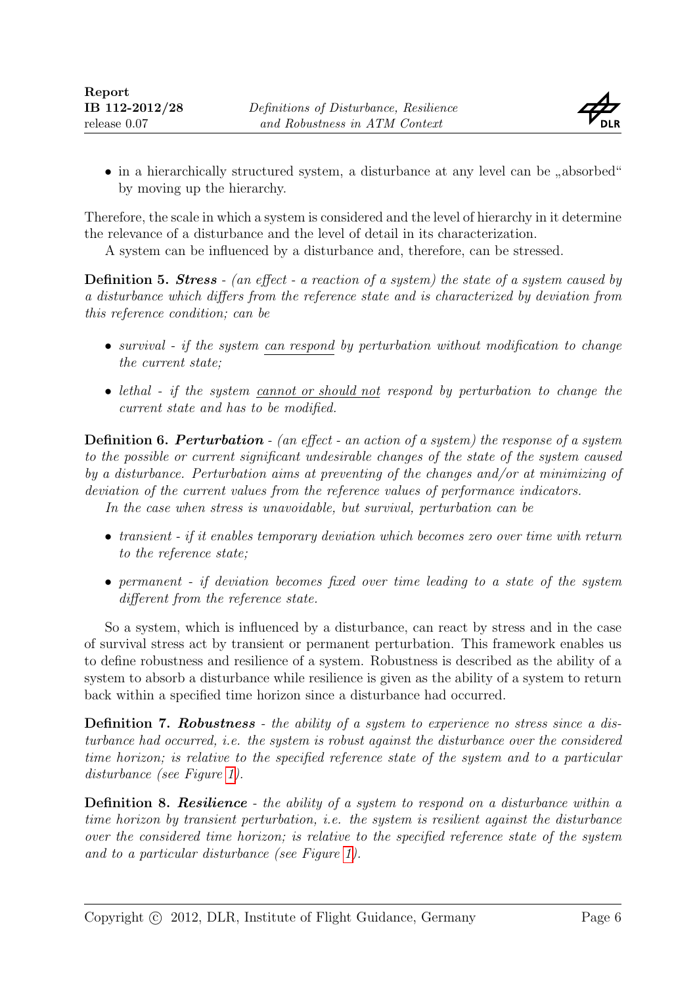

• in a hierarchically structured system, a disturbance at any level can be "absorbed"  $\frac{1}{2}$ by moving up the hierarchy.

Therefore, the scale in which a system is considered and the level of hierarchy in it determine the relevance of a disturbance and the level of detail in its characterization.

A system can be influenced by a disturbance and, therefore, can be stressed.

**Definition 5. Stress** - (an effect - a reaction of a system) the state of a system caused by a disturbance which differs from the reference state and is characterized by deviation from this reference condition; can be

- survival if the system can respond by perturbation without modification to change the current state;
- lethal if the system cannot or should not respond by perturbation to change the current state and has to be modified.

Definition 6. Perturbation - (an effect - an action of a system) the response of a system to the possible or current significant undesirable changes of the state of the system caused by a disturbance. Perturbation aims at preventing of the changes and/or at minimizing of deviation of the current values from the reference values of performance indicators. In the case when stress is unavoidable, but survival, perturbation can be

• transient - if it enables temporary deviation which becomes zero over time with return to the reference state;

• permanent - if deviation becomes fixed over time leading to a state of the system different from the reference state.

So a system, which is influenced by a disturbance, can react by stress and in the case of survival stress act by transient or permanent perturbation. This framework enables us to define robustness and resilience of a system. Robustness is described as the ability of a system to absorb a disturbance while resilience is given as the ability of a system to return back within a specified time horizon since a disturbance had occurred.

<span id="page-5-0"></span>Definition 7. Robustness - the ability of a system to experience no stress since a disturbance had occurred, i.e. the system is robust against the disturbance over the considered time horizon; is relative to the specified reference state of the system and to a particular disturbance (see Figure [1\)](#page-4-0).

<span id="page-5-1"></span>**Definition 8. Resilience** - the ability of a system to respond on a disturbance within a time horizon by transient perturbation, i.e. the system is resilient against the disturbance over the considered time horizon; is relative to the specified reference state of the system and to a particular disturbance (see Figure [1\)](#page-4-0).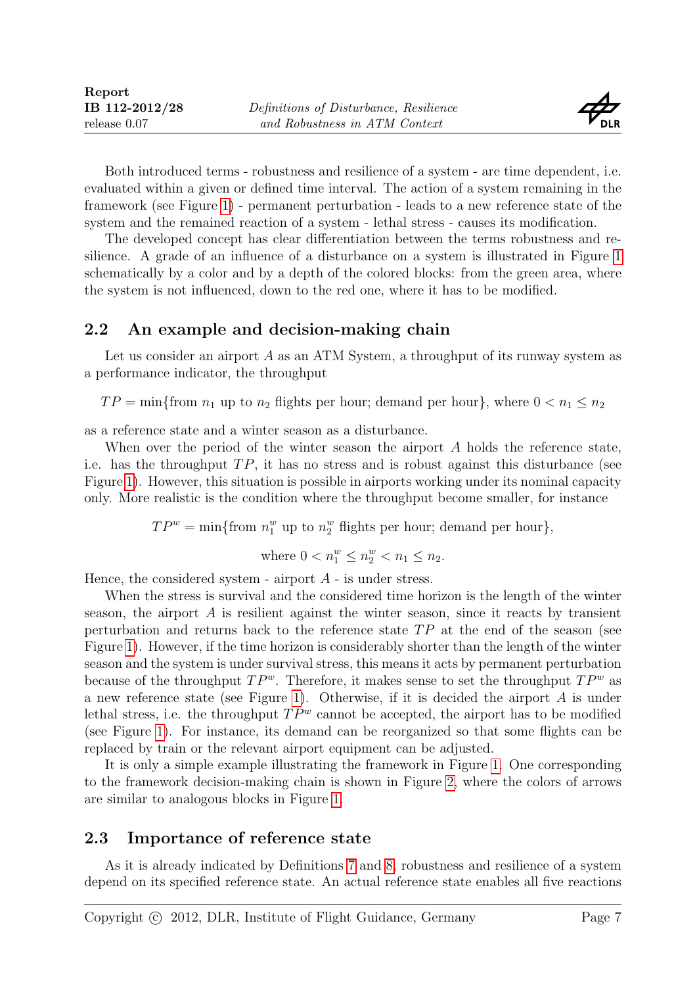

Both introduced terms - robustness and resilience of a system - are time dependent, i.e. evaluated within a given or defined time interval. The action of a system remaining in the framework (see Figure [1\)](#page-4-0) - permanent perturbation - leads to a new reference state of the system and the remained reaction of a system - lethal stress - causes its modification.

The developed concept has clear differentiation between the terms robustness and resilience. A grade of an influence of a disturbance on a system is illustrated in Figure [1](#page-4-0) schematically by a color and by a depth of the colored blocks: from the green area, where the system is not influenced, down to the red one, where it has to be modified.

#### 2.2 An example and decision-making chain

Let us consider an airport A as an ATM System, a throughput of its runway system as a performance indicator, the throughput

 $TP = \min\{\text{from }n_1\text{ up to }n_2\text{ flights per hour};\text{ demand per hour}\}\text{, where }0 < n_1 \leq n_2$ 

as a reference state and a winter season as a disturbance.

When over the period of the winter season the airport A holds the reference state, i.e. has the throughput  $TP$ , it has no stress and is robust against this disturbance (see Figure [1\)](#page-4-0). However, this situation is possible in airports working under its nominal capacity only. More realistic is the condition where the throughput become smaller, for instance

 $TP^w = \min\{\text{from } n_1^w \text{ up to } n_2^w \text{ flights per hour}; \text{ demand per hour}\},$ 

where 
$$
0 < n_1^w \leq n_2^w < n_1 \leq n_2
$$
.

Hence, the considered system - airport  $A$  - is under stress.

When the stress is survival and the considered time horizon is the length of the winter season, the airport A is resilient against the winter season, since it reacts by transient perturbation and returns back to the reference state  $TP$  at the end of the season (see Figure [1\)](#page-4-0). However, if the time horizon is considerably shorter than the length of the winter season and the system is under survival stress, this means it acts by permanent perturbation because of the throughput  $TP^w$ . Therefore, it makes sense to set the throughput  $TP^w$  as a new reference state (see Figure [1\)](#page-4-0). Otherwise, if it is decided the airport A is under lethal stress, i.e. the throughput  $TP^w$  cannot be accepted, the airport has to be modified (see Figure [1\)](#page-4-0). For instance, its demand can be reorganized so that some flights can be replaced by train or the relevant airport equipment can be adjusted.

It is only a simple example illustrating the framework in Figure [1.](#page-4-0) One corresponding to the framework decision-making chain is shown in Figure [2,](#page-7-0) where the colors of arrows are similar to analogous blocks in Figure [1.](#page-4-0)

#### <span id="page-6-0"></span>2.3 Importance of reference state

As it is already indicated by Definitions [7](#page-5-0) and [8,](#page-5-1) robustness and resilience of a system depend on its specified reference state. An actual reference state enables all five reactions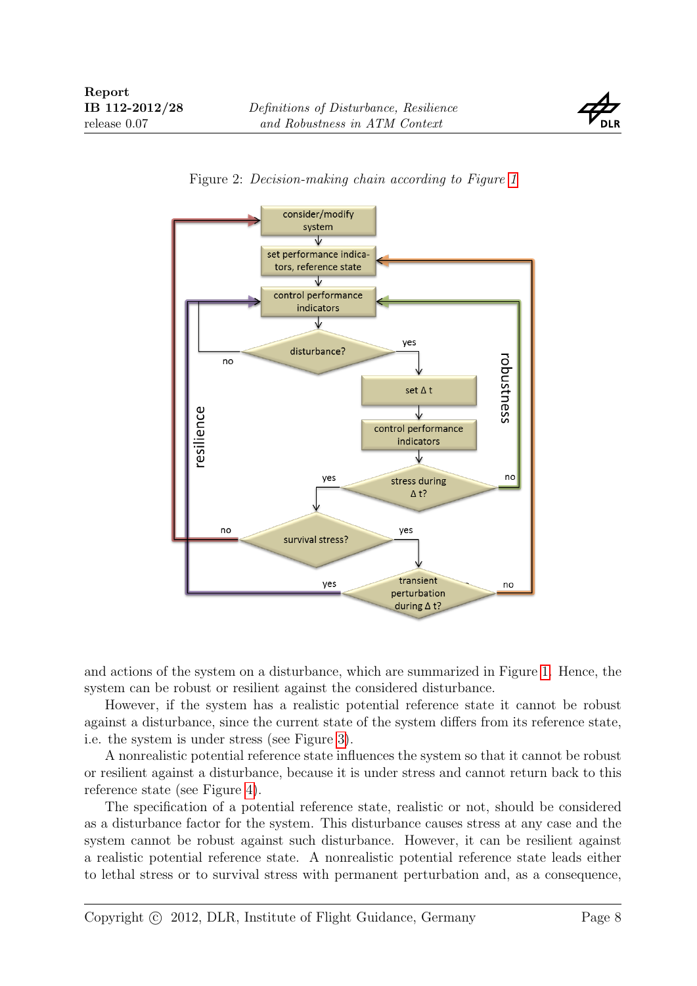

<span id="page-7-0"></span>

Figure 2: Decision-making chain according to Figure [1](#page-4-0)

and actions of the system on a disturbance, which are summarized in Figure [1.](#page-4-0) Hence, the system can be robust or resilient against the considered disturbance.

However, if the system has a realistic potential reference state it cannot be robust against a disturbance, since the current state of the system differs from its reference state, i.e. the system is under stress (see Figure [3\)](#page-8-0).

A nonrealistic potential reference state influences the system so that it cannot be robust or resilient against a disturbance, because it is under stress and cannot return back to this reference state (see Figure [4\)](#page-9-0).

The specification of a potential reference state, realistic or not, should be considered as a disturbance factor for the system. This disturbance causes stress at any case and the system cannot be robust against such disturbance. However, it can be resilient against a realistic potential reference state. A nonrealistic potential reference state leads either to lethal stress or to survival stress with permanent perturbation and, as a consequence,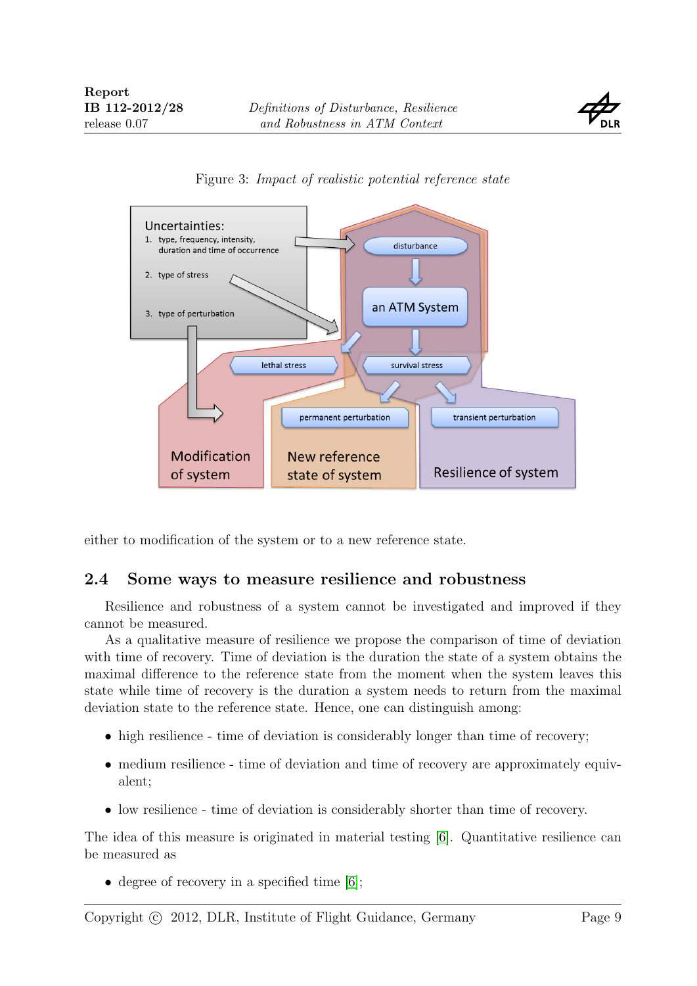

<span id="page-8-0"></span>



either to modification of the system or to a new reference state.

#### 2.4 Some ways to measure resilience and robustness

Resilience and robustness of a system cannot be investigated and improved if they cannot be measured.

As a qualitative measure of resilience we propose the comparison of time of deviation with time of recovery. Time of deviation is the duration the state of a system obtains the maximal difference to the reference state from the moment when the system leaves this state while time of recovery is the duration a system needs to return from the maximal deviation state to the reference state. Hence, one can distinguish among:

- high resilience time of deviation is considerably longer than time of recovery;
- medium resilience time of deviation and time of recovery are approximately equivalent;
- low resilience time of deviation is considerably shorter than time of recovery.

The idea of this measure is originated in material testing [\[6\]](#page-11-0). Quantitative resilience can be measured as

• degree of recovery in a specified time [\[6\]](#page-11-0);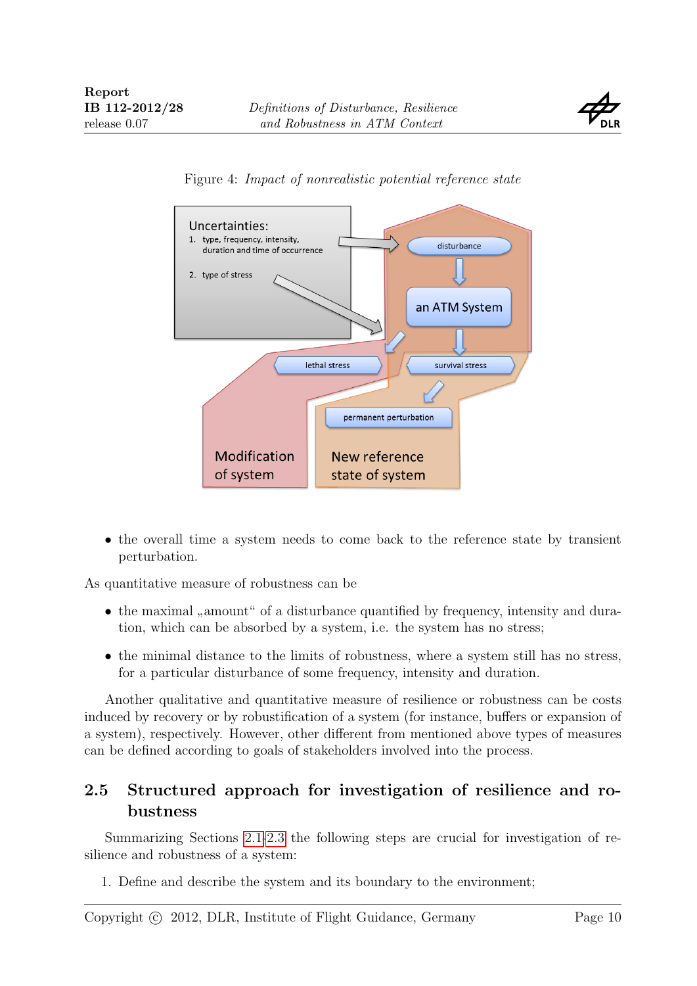

<span id="page-9-0"></span>



• the overall time a system needs to come back to the reference state by transient perturbation.

As quantitative measure of robustness can be

- the maximal "amount" of a disturbance quantified by frequency, intensity and dura-<br>tion which can be shorted by a greater is the extens here as there. tion, which can be absorbed by a system, i.e. the system has no stress;
- the minimal distance to the limits of robustness, where a system still has no stress, for a particular disturbance of some frequency, intensity and duration.

Another qualitative and quantitative measure of resilience or robustness can be costs induced by recovery or by robustification of a system (for instance, buffers or expansion of a system), respectively. However, other different from mentioned above types of measures can be defined according to goals of stakeholders involved into the process.

### 2.5 Structured approach for investigation of resilience and robustness

Summarizing Sections [2.1](#page-3-0)[-2.3](#page-6-0) the following steps are crucial for investigation of resilience and robustness of a system:

1. Define and describe the system and its boundary to the environment;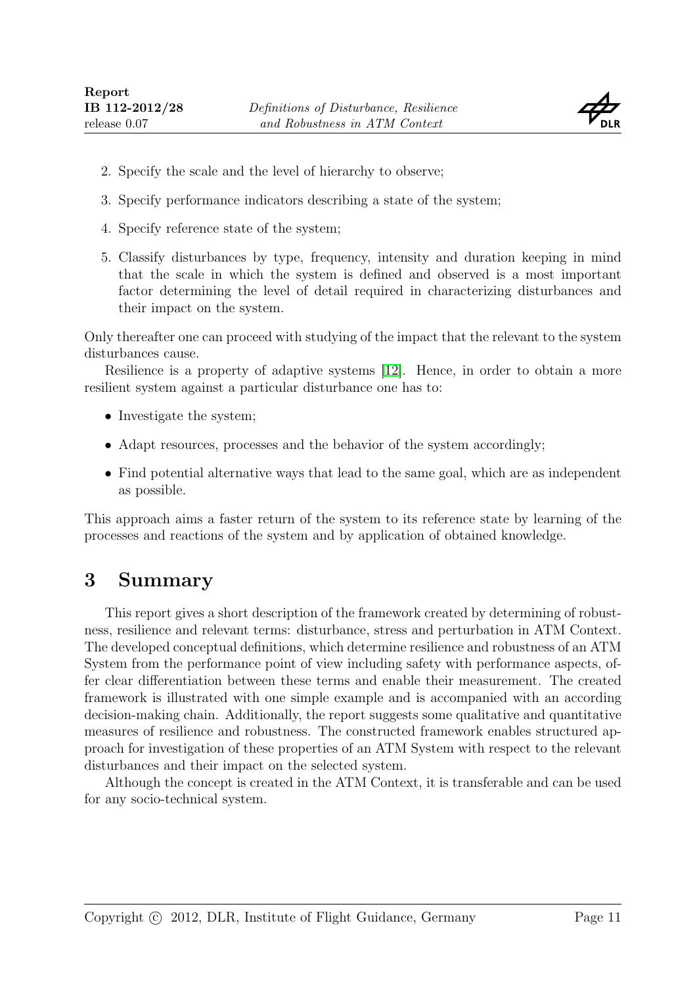

- 2. Specify the scale and the level of hierarchy to observe;
- 3. Specify performance indicators describing a state of the system;
- 4. Specify reference state of the system;
- 5. Classify disturbances by type, frequency, intensity and duration keeping in mind that the scale in which the system is defined and observed is a most important factor determining the level of detail required in characterizing disturbances and their impact on the system.

Only thereafter one can proceed with studying of the impact that the relevant to the system disturbances cause.

Resilience is a property of adaptive systems [\[12\]](#page-11-13). Hence, in order to obtain a more resilient system against a particular disturbance one has to:

- Investigate the system;
- Adapt resources, processes and the behavior of the system accordingly;
- Find potential alternative ways that lead to the same goal, which are as independent as possible.

This approach aims a faster return of the system to its reference state by learning of the processes and reactions of the system and by application of obtained knowledge.

## 3 Summary

This report gives a short description of the framework created by determining of robustness, resilience and relevant terms: disturbance, stress and perturbation in ATM Context. The developed conceptual definitions, which determine resilience and robustness of an ATM System from the performance point of view including safety with performance aspects, offer clear differentiation between these terms and enable their measurement. The created framework is illustrated with one simple example and is accompanied with an according decision-making chain. Additionally, the report suggests some qualitative and quantitative measures of resilience and robustness. The constructed framework enables structured approach for investigation of these properties of an ATM System with respect to the relevant disturbances and their impact on the selected system.

Although the concept is created in the ATM Context, it is transferable and can be used for any socio-technical system.